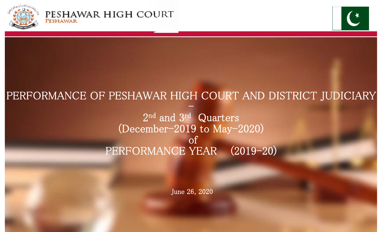



# PERFORMANCE OF PESHAWAR HIGH COURT AND DISTRICT JUDICIARY PERFORMANCE OF PESHAWAR HIGH COURT AND DISTRICT JUDICIARY

 $2^{\text{nd}}$  and  $3^{\text{rd}}$  Quarters (December-2019 to May-2020) of PERFORMANCE YEAR (2019-20)

June 26, 2020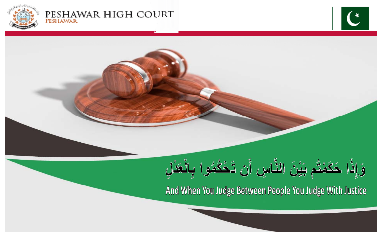

#### PESHAWAR HIGH COURT PESHAWAR



And When You Judge Between People You Judge With Justice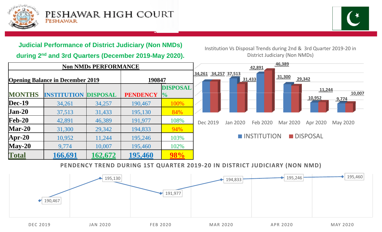

**MONTHS**

**Dec-19**

**Jan-20**

**Feb-20**

**Mar-20**

**Total**



# **Judicial Performance of District Judiciary (Non NMDs)**

**during 2nd and 3rd Quarters (December 2019-May 2020).**

**Non NMDs PERFORMANCE**

**Apr-20** 10,952 11,244 195,246 103%

**May-20** 9,774 10,007 195,460 102%

**Opening Balance in December 2019 190847**

Institution Vs Disposal Trends during 2nd & 3rd Quarter 2019‐20 in District Judiciary (Non NMDs)



#### **PENDENCY TREND DURING 1ST QUARTER 2019‐20 IN DISTRICT JUDICIARY (NON NMD)**

**%**

190,467

37,513 31,433 195,130 84%

42,891 46,389 191,977 108%

31,300 29,342 194,833 94%

**166,691 162,672 195,460 98%**

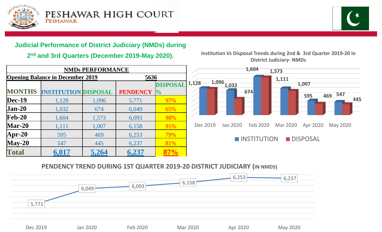



# **Judicial Performance of District Judiciary (NMDs) during Judicial**

**2nd and 3rd Quarters (December 2019-May 2020).**

| <b>NMDs PERFORMANCE</b>                         |                    |                 |                 |                 | 1,604<br>1,573 |                          |             |          |                |
|-------------------------------------------------|--------------------|-----------------|-----------------|-----------------|----------------|--------------------------|-------------|----------|----------------|
| 5636<br><b>Opening Balance in December 2019</b> |                    |                 |                 |                 |                |                          |             | 1,111    |                |
|                                                 |                    |                 |                 | <b>DISPOSAL</b> | 1,128          | $1,096$ <sub>1,032</sub> |             |          | 1,007          |
| <b>MONTHS</b>                                   | <b>INSTITUTION</b> | <b>DISPOSAL</b> | <b>PENDENCY</b> | $\frac{10}{6}$  |                |                          | 674         |          | 595            |
| <b>Dec-19</b>                                   | 1,128              | 1,096           | 5,771           | 97%             |                |                          |             |          |                |
| $Jan-20$                                        | 1,032              | 674             | 6,049           | 65%             |                |                          |             |          |                |
| $\mathbf{Feb-20}$                               | 1,604              | 1,573           | 6,093           | 98%             |                |                          |             |          |                |
| $Mar-20$                                        | 1,111              | 1,007           | 6,158           | 91%             | Dec 2019       | Jan 2020                 | Feb 2020    | Mar 2020 | Apr 20         |
| Apr-20                                          | 595                | 469             | 6,253           | 79%             |                |                          |             |          |                |
| $May-20$                                        | 547                | 445             | 6,237           | 81%             |                |                          | INSTITUTION |          | <b>DISPOSA</b> |
| <b>Total</b>                                    | 6,017              | 5,264           | 6,237           | 87%             |                |                          |             |          |                |

#### **Institution Vs Disposal Trends during 2nd & 3rd Quarter 2019‐20 in DIstrict Judiciary‐ NMDs**



# **PENDENCY TREND DURING 1ST QUARTER 2019 ‐20 DISTRICT JUDICIARY (IN NMDS)**

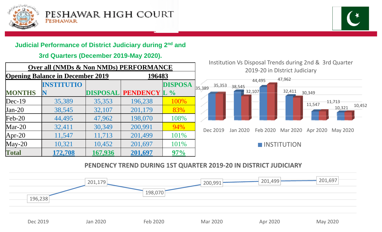



# **Judicial Performance of District Judiciary during 2nd 2 and**

## **3rd Quarters (December 2019-May 2020).**

| Over all (NMDs & Non NMDs) PERFORMANCE            |                   |                 |                     | institution vs Disposal Trends during 2nd<br>2019-20 in DIstrict Judiciary |                  |                      |                    |
|---------------------------------------------------|-------------------|-----------------|---------------------|----------------------------------------------------------------------------|------------------|----------------------|--------------------|
| <b>Opening Balance in December 2019</b><br>196483 |                   |                 |                     |                                                                            |                  |                      | 47,962             |
|                                                   | <b>INSTITUTIO</b> |                 |                     | <b>DISPOSA</b>                                                             | 35,353<br>35,389 | 44,495<br>38,545     |                    |
| <b>MONTHS</b>                                     | $\mathbf N$       | <b>DISPOSAL</b> | <b>PENDENCY L %</b> |                                                                            |                  | 32,107               | 32,411<br>30,349   |
| $Dec-19$                                          | 35,389            | 35,353          | 196,238             | 100%                                                                       |                  |                      | 11,54              |
| $Jan-20$                                          | 38,545            | 32,107          | 201,179             | 83%                                                                        |                  |                      |                    |
| $\text{Feb-20}$                                   | 44,495            | 47,962          | 198,070             | 108%                                                                       |                  |                      |                    |
| $Mar-20$                                          | 32,411            | 30,349          | 200,991             | 94%                                                                        | Dec 2019         | Feb 2020<br>Jan 2020 | Mar 2020 Apr       |
| $ Apr-20 $                                        | 11,547            | 11,713          | 201,499             | 101%                                                                       |                  |                      |                    |
| $May-20$                                          | 10,321            | 10,452          | 201,697             | 101%                                                                       |                  |                      | <b>NISTITUTION</b> |
| <b>Total</b>                                      | 172,708           | 167,936         | 201,697             | 97%                                                                        |                  |                      |                    |

Institution Vs Disposal Trends during 2nd & 3rd Quarter



# **PENDENCY TREND DURING 1ST QUARTER 2019 ‐20 IN DISTRICT JUDICIARY**

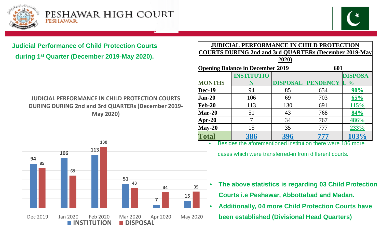



# **Judicial Performance of Child Protection Courts during 1st Quarter (December 2019-May 2020).**

# **JUDICIAL PERFORMANCE IN CHILD PROTECTION COURTS DURING DURING 2nd and 3rd QUARTERs (December 2019‐ Ma y 2020)**

| <b>ection Courts</b><br><b>P-May 2020).</b> | <b>JUDICIAL PERFORMANCE IN CHILD PROTECTION</b><br>COURTS DURING 2nd and 3rd QUARTERs (December 2019-May<br>2020 |                                         |                 |                 |                 |  |  |
|---------------------------------------------|------------------------------------------------------------------------------------------------------------------|-----------------------------------------|-----------------|-----------------|-----------------|--|--|
|                                             |                                                                                                                  | <b>Opening Balance in December 2019</b> | 601             |                 |                 |  |  |
|                                             |                                                                                                                  | <b>INSTITUTIO</b>                       |                 |                 | <b>DISPOSA</b>  |  |  |
|                                             | <b>MONTHS</b>                                                                                                    |                                         | <b>DISPOSAL</b> | <b>PENDENCY</b> | $\mathbf{L} \%$ |  |  |
|                                             | <b>Dec-19</b>                                                                                                    | 94                                      | 85              | 634             | 90%             |  |  |
| <b>D PROTECTION COURTS</b>                  | <b>Jan-20</b>                                                                                                    | 106                                     | 69              | 703             | 65%             |  |  |
| <b>ARTERs (December 2019-</b>               | $\mathbf{Feb-20}$                                                                                                | 113                                     | 130             | 691             | 115%            |  |  |
|                                             | <b>Mar-20</b>                                                                                                    | 51                                      | 43              | 768             | 84%             |  |  |
|                                             | <b>Apr-20</b>                                                                                                    |                                         | 34              | 767             | 486%            |  |  |
|                                             | $May-20$                                                                                                         | 15                                      | 35              | 777             | 233%            |  |  |
|                                             | Total                                                                                                            | 386                                     | 396             | 777             | 103%            |  |  |



Besides the aforementioned institution there were 186 more

cases which were transferred-in from different courts.

- **The above statistics is regarding 03 Child Protection Courts i.e Peshawar, Abbottabad and Madan.**
	- •**Additionally, 04 more Child Protection Courts have y, been established (Divisional Head Quarters)**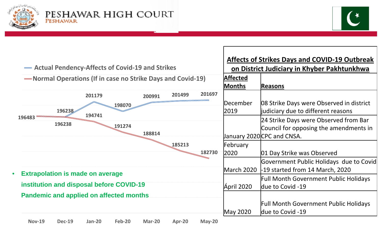



| <b>Affected</b><br>-Normal Operations (If in case no Strike Days and Covid-19)<br><b>Months</b><br>Reasons<br>201697<br>201499<br>201179<br>200991<br>December<br>08 Strike Days were Observed in district<br>198070<br>196238<br>2019<br>judiciary due to different reasons<br>194741<br>196483<br>24 Strike Days were Observed from Bar<br>196238<br>191274<br>Council for opposing the amendments in<br>188814<br>January 2020 CPC and CNSA. | <b>Affects of Strikes Days and COVID-19 Outbreak</b><br>on District Judiciary in Khyber Pakhtunkhwa |  |  |
|-------------------------------------------------------------------------------------------------------------------------------------------------------------------------------------------------------------------------------------------------------------------------------------------------------------------------------------------------------------------------------------------------------------------------------------------------|-----------------------------------------------------------------------------------------------------|--|--|
|                                                                                                                                                                                                                                                                                                                                                                                                                                                 |                                                                                                     |  |  |
| 185213<br>February<br>182730<br>2020<br>01 Day Strike was Observed                                                                                                                                                                                                                                                                                                                                                                              |                                                                                                     |  |  |
| Government Public Holidays due to Covid<br>-19 started from 14 March, 2020<br>March 2020<br><b>Extrapolation is made on average</b><br>$\bullet$<br><b>Full Month Government Public Holidays</b><br>institution and disposal before COVID-19<br>Ápril 2020<br>due to Covid -19<br><b>Pandemic and applied on affected months</b><br><b>Full Month Government Public Holidays</b><br>due to Covid -19<br>May 2020                                |                                                                                                     |  |  |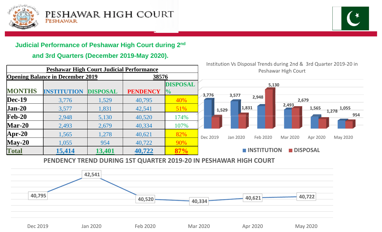



# **Judicial Performance of Peshawar High Court during 2nd 2**

# **and 3rd Quarters (December 2019-May 2020).**



### **PENDENCY TREND DURING 1ST QUARTER 2019 ‐20 IN PESHAWAR HIGH COURT**